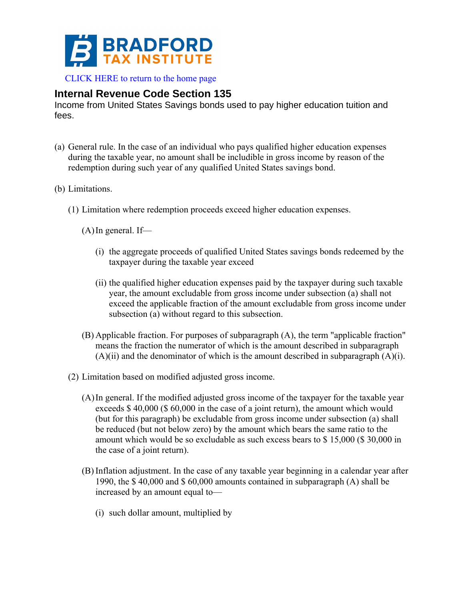

[CLICK HERE to return to the home page](http://bradfordtaxinstitute.com/index1.aspx) 

## **Internal Revenue Code Section 135**

Income from United States Savings bonds used to pay higher education tuition and fees.

- (a) General rule. In the case of an individual who pays qualified higher education expenses during the taxable year, no amount shall be includible in gross income by reason of the redemption during such year of any qualified United States savings bond.
- (b) Limitations.
	- (1) Limitation where redemption proceeds exceed higher education expenses.
		- $(A)$ In general. If—
			- (i) the aggregate proceeds of qualified United States savings bonds redeemed by the taxpayer during the taxable year exceed
			- (ii) the qualified higher education expenses paid by the taxpayer during such taxable year, the amount excludable from gross income under subsection (a) shall not exceed the applicable fraction of the amount excludable from gross income under subsection (a) without regard to this subsection.
		- (B) Applicable fraction. For purposes of subparagraph (A), the term "applicable fraction" means the fraction the numerator of which is the amount described in subparagraph  $(A)(ii)$  and the denominator of which is the amount described in subparagraph  $(A)(i)$ .
	- (2) Limitation based on modified adjusted gross income.
		- (A)In general. If the modified adjusted gross income of the taxpayer for the taxable year exceeds \$ 40,000 (\$ 60,000 in the case of a joint return), the amount which would (but for this paragraph) be excludable from gross income under subsection (a) shall be reduced (but not below zero) by the amount which bears the same ratio to the amount which would be so excludable as such excess bears to \$ 15,000 (\$ 30,000 in the case of a joint return).
		- (B) Inflation adjustment. In the case of any taxable year beginning in a calendar year after 1990, the \$ 40,000 and \$ 60,000 amounts contained in subparagraph (A) shall be increased by an amount equal to—
			- (i) such dollar amount, multiplied by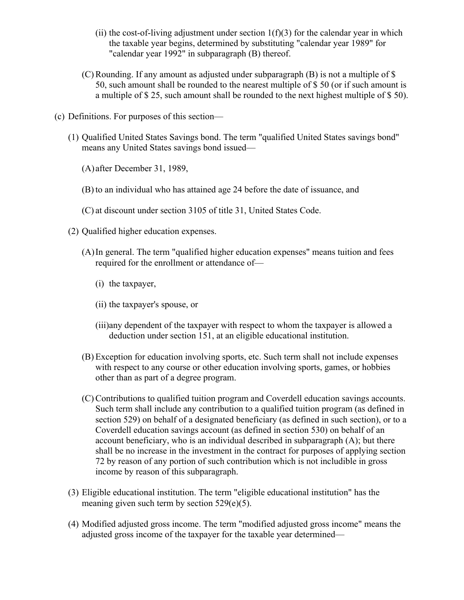- (ii) the cost-of-living adjustment under section  $1(f)(3)$  for the calendar year in which the taxable year begins, determined by substituting "calendar year 1989" for "calendar year 1992" in subparagraph (B) thereof.
- (C) Rounding. If any amount as adjusted under subparagraph (B) is not a multiple of \$ 50, such amount shall be rounded to the nearest multiple of \$ 50 (or if such amount is a multiple of \$ 25, such amount shall be rounded to the next highest multiple of \$ 50).
- (c) Definitions. For purposes of this section—
	- (1) Qualified United States Savings bond. The term "qualified United States savings bond" means any United States savings bond issued—
		- (A) after December 31, 1989,
		- (B) to an individual who has attained age 24 before the date of issuance, and
		- (C) at discount under section 3105 of title 31, United States Code.
	- (2) Qualified higher education expenses.
		- (A)In general. The term "qualified higher education expenses" means tuition and fees required for the enrollment or attendance of—
			- (i) the taxpayer,
			- (ii) the taxpayer's spouse, or
			- (iii)any dependent of the taxpayer with respect to whom the taxpayer is allowed a deduction under section 151, at an eligible educational institution.
		- (B) Exception for education involving sports, etc. Such term shall not include expenses with respect to any course or other education involving sports, games, or hobbies other than as part of a degree program.
		- (C) Contributions to qualified tuition program and Coverdell education savings accounts. Such term shall include any contribution to a qualified tuition program (as defined in section 529) on behalf of a designated beneficiary (as defined in such section), or to a Coverdell education savings account (as defined in section 530) on behalf of an account beneficiary, who is an individual described in subparagraph (A); but there shall be no increase in the investment in the contract for purposes of applying section 72 by reason of any portion of such contribution which is not includible in gross income by reason of this subparagraph.
	- (3) Eligible educational institution. The term "eligible educational institution" has the meaning given such term by section 529(e)(5).
	- (4) Modified adjusted gross income. The term "modified adjusted gross income" means the adjusted gross income of the taxpayer for the taxable year determined—